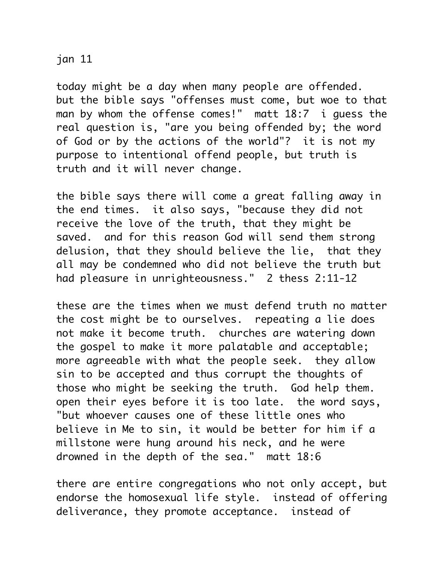## jan 11

today might be a day when many people are offended. but the bible says "offenses must come, but woe to that man by whom the offense comes!" matt 18:7 i guess the real question is, "are you being offended by; the word of God or by the actions of the world"? it is not my purpose to intentional offend people, but truth is truth and it will never change.

the bible says there will come a great falling away in the end times. it also says, "because they did not receive the love of the truth, that they might be saved. and for this reason God will send them strong delusion, that they should believe the lie, that they all may be condemned who did not believe the truth but had pleasure in unrighteousness." 2 thess 2:11-12

these are the times when we must defend truth no matter the cost might be to ourselves. repeating a lie does not make it become truth. churches are watering down the gospel to make it more palatable and acceptable; more agreeable with what the people seek. they allow sin to be accepted and thus corrupt the thoughts of those who might be seeking the truth. God help them. open their eyes before it is too late. the word says, "but whoever causes one of these little ones who believe in Me to sin, it would be better for him if a millstone were hung around his neck, and he were drowned in the depth of the sea." matt 18:6

there are entire congregations who not only accept, but endorse the homosexual life style. instead of offering deliverance, they promote acceptance. instead of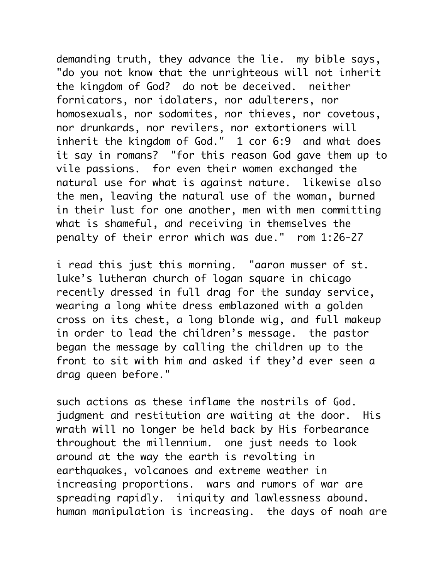demanding truth, they advance the lie. my bible says, "do you not know that the unrighteous will not inherit the kingdom of God? do not be deceived. neither fornicators, nor idolaters, nor adulterers, nor homosexuals, nor sodomites, nor thieves, nor covetous, nor drunkards, nor revilers, nor extortioners will inherit the kingdom of God." 1 cor 6:9 and what does it say in romans? "for this reason God gave them up to vile passions. for even their women exchanged the natural use for what is against nature. likewise also the men, leaving the natural use of the woman, burned in their lust for one another, men with men committing what is shameful, and receiving in themselves the penalty of their error which was due." rom 1:26-27

i read this just this morning. "aaron musser of st. luke's lutheran church of logan square in chicago recently dressed in full drag for the sunday service, wearing a long white dress emblazoned with a golden cross on its chest, a long blonde wig, and full makeup in order to lead the children's message. the pastor began the message by calling the children up to the front to sit with him and asked if they'd ever seen a drag queen before."

such actions as these inflame the nostrils of God. judgment and restitution are waiting at the door. His wrath will no longer be held back by His forbearance throughout the millennium. one just needs to look around at the way the earth is revolting in earthquakes, volcanoes and extreme weather in increasing proportions. wars and rumors of war are spreading rapidly. iniquity and lawlessness abound. human manipulation is increasing. the days of noah are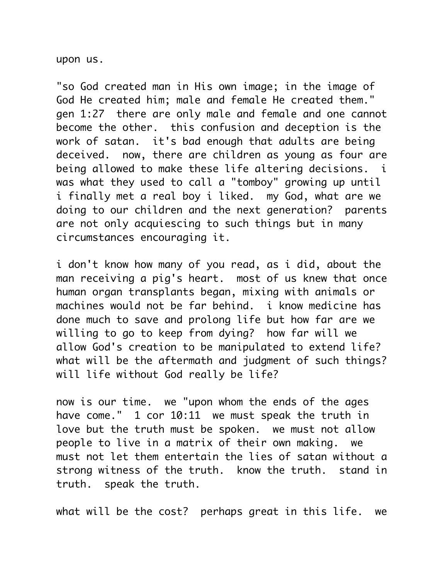upon us.

"so God created man in His own image; in the image of God He created him; male and female He created them." gen 1:27 there are only male and female and one cannot become the other. this confusion and deception is the work of satan. it's bad enough that adults are being deceived. now, there are children as young as four are being allowed to make these life altering decisions. i was what they used to call a "tomboy" growing up until i finally met a real boy i liked. my God, what are we doing to our children and the next generation? parents are not only acquiescing to such things but in many circumstances encouraging it.

i don't know how many of you read, as i did, about the man receiving a pig's heart. most of us knew that once human organ transplants began, mixing with animals or machines would not be far behind. i know medicine has done much to save and prolong life but how far are we willing to go to keep from dying? how far will we allow God's creation to be manipulated to extend life? what will be the aftermath and judgment of such things? will life without God really be life?

now is our time. we "upon whom the ends of the ages have come." 1 cor 10:11 we must speak the truth in love but the truth must be spoken. we must not allow people to live in a matrix of their own making. we must not let them entertain the lies of satan without a strong witness of the truth. know the truth. stand in truth. speak the truth.

what will be the cost? perhaps great in this life. we